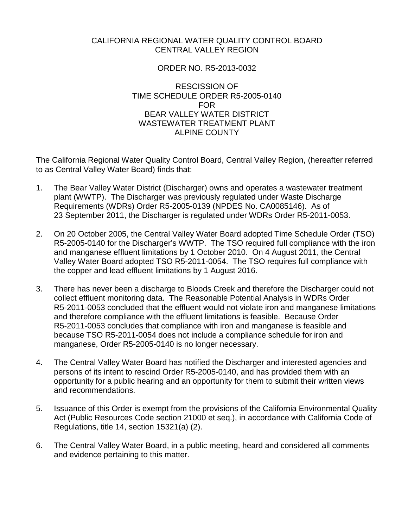## CALIFORNIA REGIONAL WATER QUALITY CONTROL BOARD CENTRAL VALLEY REGION

## ORDER NO. R5-2013-0032

## RESCISSION OF TIME SCHEDULE ORDER R5-2005-0140 FOR BEAR VALLEY WATER DISTRICT WASTEWATER TREATMENT PLANT ALPINE COUNTY

The California Regional Water Quality Control Board, Central Valley Region, (hereafter referred to as Central Valley Water Board) finds that:

- 1. The Bear Valley Water District (Discharger) owns and operates a wastewater treatment plant (WWTP). The Discharger was previously regulated under Waste Discharge Requirements (WDRs) Order R5-2005-0139 (NPDES No. CA0085146). As of 23 September 2011, the Discharger is regulated under WDRs Order R5-2011-0053.
- 2. On 20 October 2005, the Central Valley Water Board adopted Time Schedule Order (TSO) R5-2005-0140 for the Discharger's WWTP. The TSO required full compliance with the iron and manganese effluent limitations by 1 October 2010. On 4 August 2011, the Central Valley Water Board adopted TSO R5-2011-0054. The TSO requires full compliance with the copper and lead effluent limitations by 1 August 2016.
- 3. There has never been a discharge to Bloods Creek and therefore the Discharger could not collect effluent monitoring data. The Reasonable Potential Analysis in WDRs Order R5-2011-0053 concluded that the effluent would not violate iron and manganese limitations and therefore compliance with the effluent limitations is feasible. Because Order R5-2011-0053 concludes that compliance with iron and manganese is feasible and because TSO R5-2011-0054 does not include a compliance schedule for iron and manganese, Order R5-2005-0140 is no longer necessary.
- 4. The Central Valley Water Board has notified the Discharger and interested agencies and persons of its intent to rescind Order R5-2005-0140, and has provided them with an opportunity for a public hearing and an opportunity for them to submit their written views and recommendations.
- 5. Issuance of this Order is exempt from the provisions of the California Environmental Quality Act (Public Resources Code section 21000 et seq.), in accordance with California Code of Regulations, title 14, section 15321(a) (2).
- 6. The Central Valley Water Board, in a public meeting, heard and considered all comments and evidence pertaining to this matter.